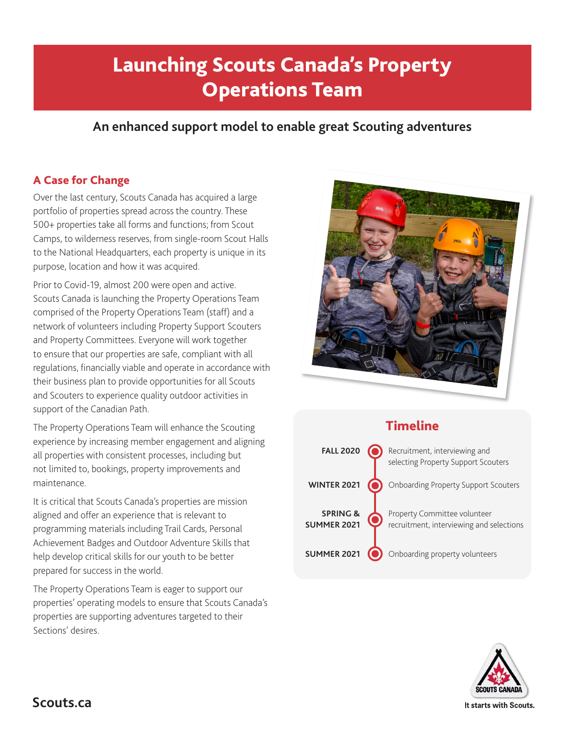# Launching Scouts Canada's Property Operations Team

# **An enhanced support model to enable great Scouting adventures**

## A Case for Change

Over the last century, Scouts Canada has acquired a large portfolio of properties spread across the country. These 500+ properties take all forms and functions; from Scout Camps, to wilderness reserves, from single-room Scout Halls to the National Headquarters, each property is unique in its purpose, location and how it was acquired.

Prior to Covid-19, almost 200 were open and active. Scouts Canada is launching the Property Operations Team comprised of the Property Operations Team (staff) and a network of volunteers including Property Support Scouters and Property Committees. Everyone will work together to ensure that our properties are safe, compliant with all regulations, financially viable and operate in accordance with their business plan to provide opportunities for all Scouts and Scouters to experience quality outdoor activities in support of the Canadian Path.

The Property Operations Team will enhance the Scouting experience by increasing member engagement and aligning all properties with consistent processes, including but not limited to, bookings, property improvements and maintenance.

It is critical that Scouts Canada's properties are mission aligned and offer an experience that is relevant to programming materials including Trail Cards, Personal Achievement Badges and Outdoor Adventure Skills that help develop critical skills for our youth to be better prepared for success in the world.

The Property Operations Team is eager to support our properties' operating models to ensure that Scouts Canada's properties are supporting adventures targeted to their Sections' desires.



# Timeline



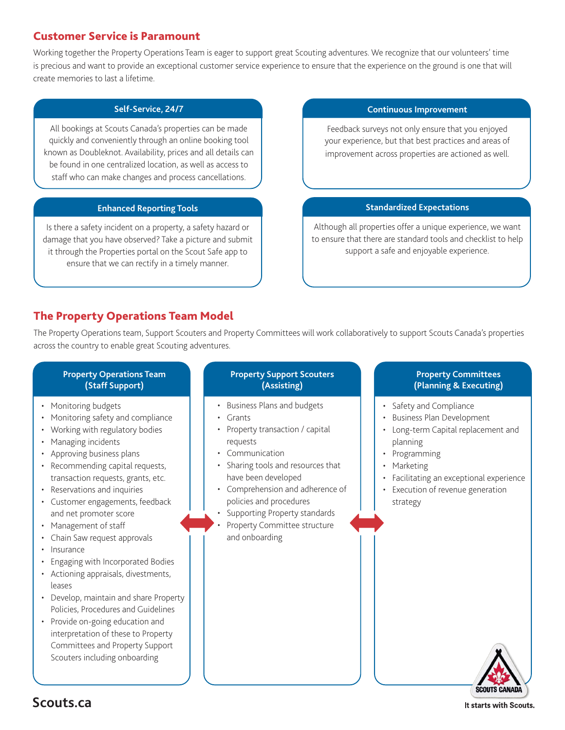### Customer Service is Paramount

Working together the Property Operations Team is eager to support great Scouting adventures. We recognize that our volunteers' time is precious and want to provide an exceptional customer service experience to ensure that the experience on the ground is one that will create memories to last a lifetime.

#### **Self-Service, 24/7**

All bookings at Scouts Canada's properties can be made quickly and conveniently through an online booking tool known as Doubleknot. Availability, prices and all details can be found in one centralized location, as well as access to staff who can make changes and process cancellations.

#### **Enhanced Reporting Tools**

Is there a safety incident on a property, a safety hazard or damage that you have observed? Take a picture and submit it through the Properties portal on the Scout Safe app to ensure that we can rectify in a timely manner.

#### **Continuous Improvement**

Feedback surveys not only ensure that you enjoyed your experience, but that best practices and areas of improvement across properties are actioned as well.

#### **Standardized Expectations**

Although all properties offer a unique experience, we want to ensure that there are standard tools and checklist to help support a safe and enjoyable experience.

## The Property Operations Team Model

The Property Operations team, Support Scouters and Property Committees will work collaboratively to support Scouts Canada's properties across the country to enable great Scouting adventures.

#### **Property Operations Team (Staff Support)**

- Monitoring budgets
- Monitoring safety and compliance
- Working with regulatory bodies
- Managing incidents
- Approving business plans
- Recommending capital requests, transaction requests, grants, etc.
- Reservations and inquiries
- Customer engagements, feedback and net promoter score
- Management of staff
- Chain Saw request approvals
- Insurance
- Engaging with Incorporated Bodies
- Actioning appraisals, divestments, leases
- Develop, maintain and share Property Policies, Procedures and Guidelines
- Provide on-going education and interpretation of these to Property Committees and Property Support Scouters including onboarding

#### **Property Support Scouters (Assisting)**

- Business Plans and budgets
- Grants
- Property transaction / capital requests
- Communication
- Sharing tools and resources that have been developed
- Comprehension and adherence of policies and procedures
- Supporting Property standards
- Property Committee structure and onboarding

#### **Property Committees (Planning & Executing)**

- Safety and Compliance
- Business Plan Development
- Long-term Capital replacement and planning
- Programming
- Marketing
- Facilitating an exceptional experience
- Execution of revenue generation strategy



**Scouts.ca**

It starts with Scouts.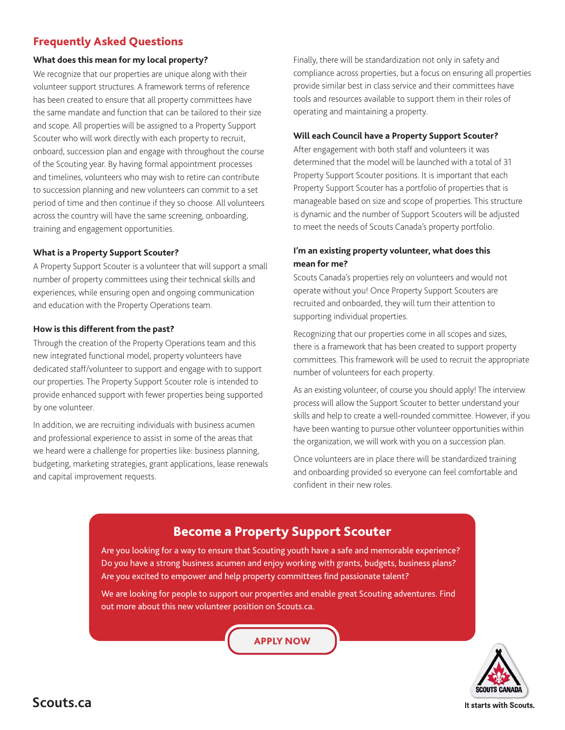## Frequently Asked Questions

#### **What does this mean for my local property?**

We recognize that our properties are unique along with their volunteer support structures. A framework terms of reference has been created to ensure that all property committees have the same mandate and function that can be tailored to their size and scope. All properties will be assigned to a Property Support Scouter who will work directly with each property to recruit, onboard, succession plan and engage with throughout the course of the Scouting year. By having formal appointment processes and timelines, volunteers who may wish to retire can contribute to succession planning and new volunteers can commit to a set period of time and then continue if they so choose. All volunteers across the country will have the same screening, onboarding, training and engagement opportunities.

#### **What is a Property Support Scouter?**

A Property Support Scouter is a volunteer that will support a small number of property committees using their technical skills and experiences, while ensuring open and ongoing communication and education with the Property Operations team.

#### **How is this different from the past?**

Through the creation of the Property Operations team and this new integrated functional model, property volunteers have dedicated staff/volunteer to support and engage with to support our properties. The Property Support Scouter role is intended to provide enhanced support with fewer properties being supported by one volunteer.

In addition, we are recruiting individuals with business acumen and professional experience to assist in some of the areas that we heard were a challenge for properties like: business planning, budgeting, marketing strategies, grant applications, lease renewals and capital improvement requests.

Finally, there will be standardization not only in safety and compliance across properties, but a focus on ensuring all properties provide similar best in class service and their committees have tools and resources available to support them in their roles of operating and maintaining a property.

#### **Will each Council have a Property Support Scouter?**

After engagement with both staff and volunteers it was determined that the model will be launched with a total of 31 Property Support Scouter positions. It is important that each Property Support Scouter has a portfolio of properties that is manageable based on size and scope of properties. This structure is dynamic and the number of Support Scouters will be adjusted to meet the needs of Scouts Canada's property portfolio.

#### **I'm an existing property volunteer, what does this mean for me?**

Scouts Canada's properties rely on volunteers and would not operate without you! Once Property Support Scouters are recruited and onboarded, they will turn their attention to supporting individual properties.

Recognizing that our properties come in all scopes and sizes, there is a framework that has been created to support property committees. This framework will be used to recruit the appropriate number of volunteers for each property.

As an existing volunteer, of course you should apply! The interview process will allow the Support Scouter to better understand your skills and help to create a well-rounded committee. However, if you have been wanting to pursue other volunteer opportunities within the organization, we will work with you on a succession plan.

Once volunteers are in place there will be standardized training and onboarding provided so everyone can feel comfortable and confident in their new roles.

# Become a Property Support Scouter

Are you looking for a way to ensure that Scouting youth have a safe and memorable experience? Do you have a strong business acumen and enjoy working with grants, budgets, business plans? Are you excited to empower and help property committees find passionate talent?

We are looking for people to support our properties and enable great Scouting adventures. Find out more about this new volunteer position on Scouts.ca.

## [APPLY NOW](mailto:properties%40scouts.ca?subject=)



It starts with Scouts.

**Scouts.ca**